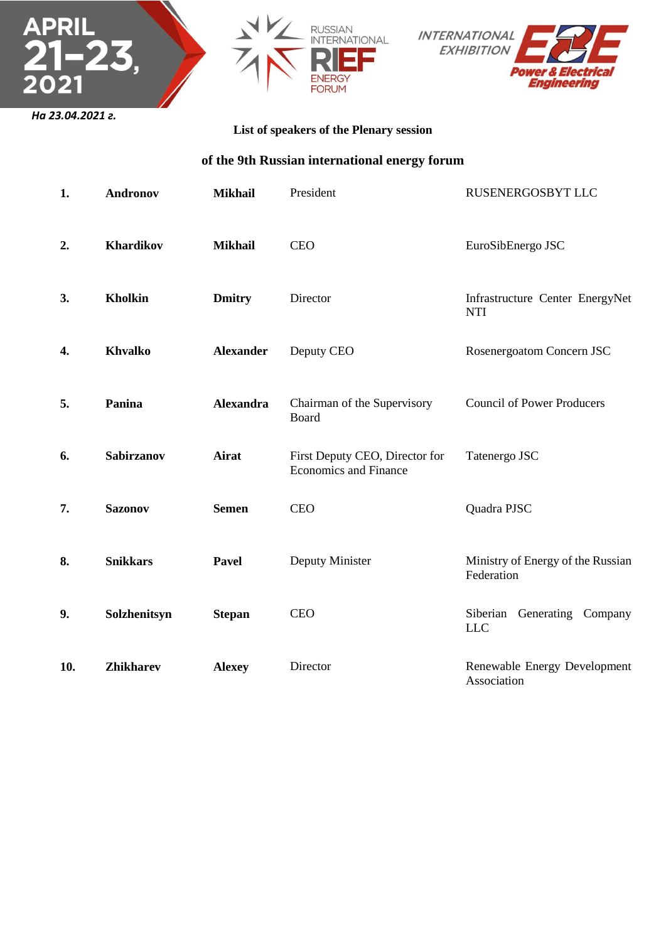





## **List of speakers of the Plenary session**

**of the 9th Russian international energy forum**

| 1.  | <b>Andronov</b>   | <b>Mikhail</b>   | President                                                      | RUSENERGOSBYT LLC                               |
|-----|-------------------|------------------|----------------------------------------------------------------|-------------------------------------------------|
| 2.  | Khardikov         | <b>Mikhail</b>   | <b>CEO</b>                                                     | EuroSibEnergo JSC                               |
| 3.  | <b>Kholkin</b>    | <b>Dmitry</b>    | Director                                                       | Infrastructure Center EnergyNet<br><b>NTI</b>   |
| 4.  | <b>Khvalko</b>    | <b>Alexander</b> | Deputy CEO                                                     | Rosenergoatom Concern JSC                       |
| 5.  | Panina            | <b>Alexandra</b> | Chairman of the Supervisory<br>Board                           | <b>Council of Power Producers</b>               |
| 6.  | <b>Sabirzanov</b> | <b>Airat</b>     | First Deputy CEO, Director for<br><b>Economics and Finance</b> | Tatenergo JSC                                   |
| 7.  | <b>Sazonov</b>    | <b>Semen</b>     | <b>CEO</b>                                                     | Quadra PJSC                                     |
| 8.  | <b>Snikkars</b>   | <b>Pavel</b>     | Deputy Minister                                                | Ministry of Energy of the Russian<br>Federation |
| 9.  | Solzhenitsyn      | <b>Stepan</b>    | <b>CEO</b>                                                     | Siberian Generating Company<br><b>LLC</b>       |
| 10. | <b>Zhikharev</b>  | <b>Alexey</b>    | Director                                                       | Renewable Energy Development<br>Association     |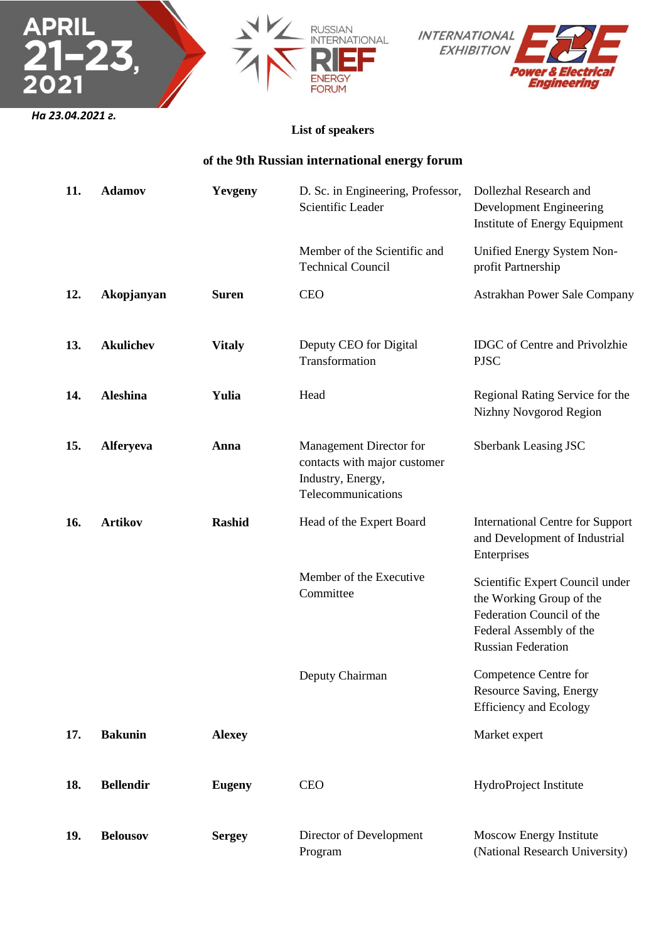





## **List of speakers**

## **of the 9th Russian international energy forum**

| 11. | <b>Adamov</b>    | Yevgeny       | D. Sc. in Engineering, Professor,<br>Scientific Leader                                             | Dollezhal Research and<br>Development Engineering<br>Institute of Energy Equipment                                                               |
|-----|------------------|---------------|----------------------------------------------------------------------------------------------------|--------------------------------------------------------------------------------------------------------------------------------------------------|
|     |                  |               | Member of the Scientific and<br><b>Technical Council</b>                                           | Unified Energy System Non-<br>profit Partnership                                                                                                 |
| 12. | Akopjanyan       | <b>Suren</b>  | <b>CEO</b>                                                                                         | Astrakhan Power Sale Company                                                                                                                     |
| 13. | <b>Akulichev</b> | <b>Vitaly</b> | Deputy CEO for Digital<br>Transformation                                                           | <b>IDGC</b> of Centre and Privolzhie<br><b>PJSC</b>                                                                                              |
| 14. | <b>Aleshina</b>  | Yulia         | Head                                                                                               | Regional Rating Service for the<br>Nizhny Novgorod Region                                                                                        |
| 15. | <b>Alferyeva</b> | Anna          | Management Director for<br>contacts with major customer<br>Industry, Energy,<br>Telecommunications | Sberbank Leasing JSC                                                                                                                             |
| 16. | <b>Artikov</b>   | <b>Rashid</b> | Head of the Expert Board                                                                           | <b>International Centre for Support</b><br>and Development of Industrial<br>Enterprises                                                          |
|     |                  |               | Member of the Executive<br>Committee                                                               | Scientific Expert Council under<br>the Working Group of the<br>Federation Council of the<br>Federal Assembly of the<br><b>Russian Federation</b> |
|     |                  |               | Deputy Chairman                                                                                    | Competence Centre for<br>Resource Saving, Energy<br><b>Efficiency and Ecology</b>                                                                |
| 17. | <b>Bakunin</b>   | <b>Alexey</b> |                                                                                                    | Market expert                                                                                                                                    |
| 18. | <b>Bellendir</b> | <b>Eugeny</b> | <b>CEO</b>                                                                                         | HydroProject Institute                                                                                                                           |
| 19. | <b>Belousov</b>  | <b>Sergey</b> | Director of Development<br>Program                                                                 | Moscow Energy Institute<br>(National Research University)                                                                                        |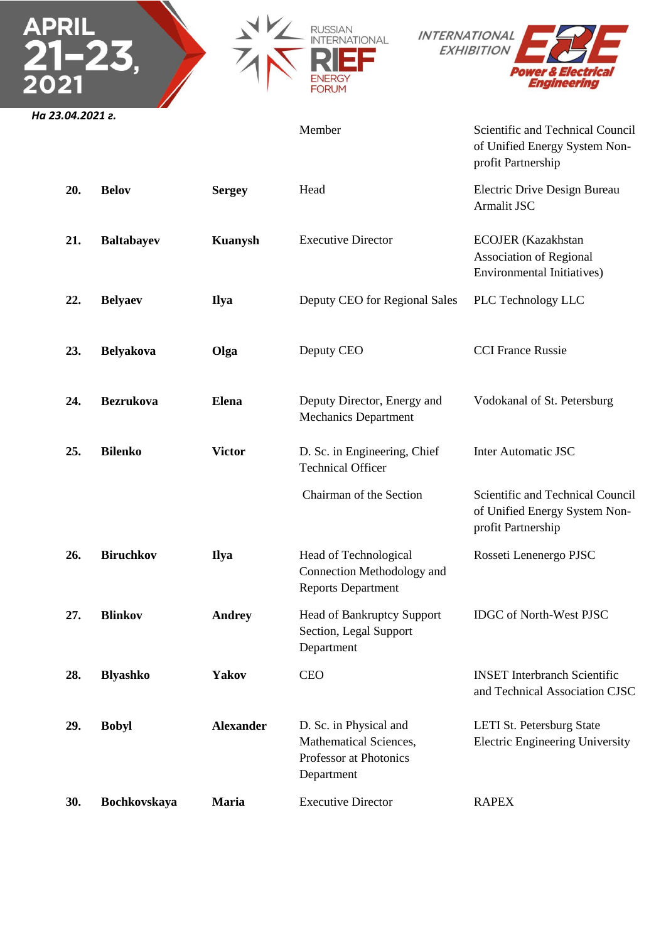





**APRI** 

Member Scientific and Technical Council of Unified Energy System Nonprofit Partnership

| 20. | <b>Belov</b>        | <b>Sergey</b>    | Head                                                                                     | Electric Drive Design Bureau<br>Armalit JSC                                               |
|-----|---------------------|------------------|------------------------------------------------------------------------------------------|-------------------------------------------------------------------------------------------|
| 21. | <b>Baltabayev</b>   | <b>Kuanysh</b>   | <b>Executive Director</b>                                                                | <b>ECOJER</b> (Kazakhstan<br><b>Association of Regional</b><br>Environmental Initiatives) |
| 22. | <b>Belyaev</b>      | <b>Ilya</b>      | Deputy CEO for Regional Sales                                                            | PLC Technology LLC                                                                        |
| 23. | <b>Belyakova</b>    | Olga             | Deputy CEO                                                                               | <b>CCI France Russie</b>                                                                  |
| 24. | <b>Bezrukova</b>    | Elena            | Deputy Director, Energy and<br><b>Mechanics Department</b>                               | Vodokanal of St. Petersburg                                                               |
| 25. | <b>Bilenko</b>      | <b>Victor</b>    | D. Sc. in Engineering, Chief<br><b>Technical Officer</b>                                 | <b>Inter Automatic JSC</b>                                                                |
|     |                     |                  | Chairman of the Section                                                                  | Scientific and Technical Council<br>of Unified Energy System Non-<br>profit Partnership   |
| 26. | <b>Biruchkov</b>    | <b>Ilya</b>      | Head of Technological<br>Connection Methodology and<br><b>Reports Department</b>         | Rosseti Lenenergo PJSC                                                                    |
| 27. | <b>Blinkov</b>      | <b>Andrey</b>    | <b>Head of Bankruptcy Support</b><br>Section, Legal Support<br>Department                | <b>IDGC</b> of North-West PJSC                                                            |
| 28. | <b>Blyashko</b>     | <b>Yakov</b>     | <b>CEO</b>                                                                               | <b>INSET</b> Interbranch Scientific<br>and Technical Association CJSC                     |
| 29. | <b>Bobyl</b>        | <b>Alexander</b> | D. Sc. in Physical and<br>Mathematical Sciences,<br>Professor at Photonics<br>Department | LETI St. Petersburg State<br><b>Electric Engineering University</b>                       |
| 30. | <b>Bochkovskaya</b> | <b>Maria</b>     | <b>Executive Director</b>                                                                | <b>RAPEX</b>                                                                              |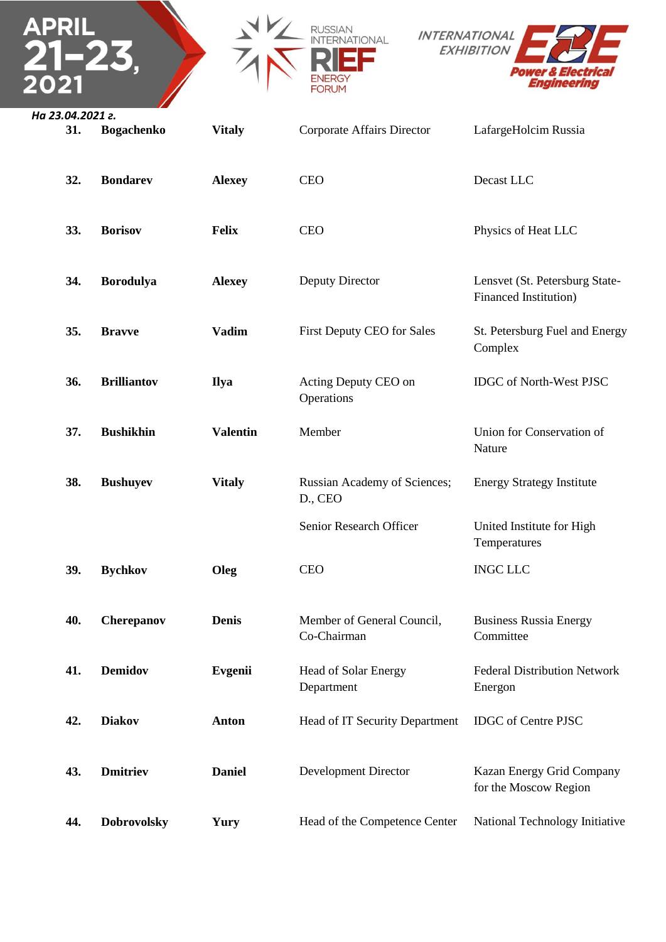





| 31. | <b>Bogachenko</b>  | <b>Vitaly</b>   | Corporate Affairs Director                | LafargeHolcim Russia                                            |
|-----|--------------------|-----------------|-------------------------------------------|-----------------------------------------------------------------|
| 32. | <b>Bondarev</b>    | <b>Alexey</b>   | <b>CEO</b>                                | Decast LLC                                                      |
| 33. | <b>Borisov</b>     | <b>Felix</b>    | <b>CEO</b>                                | Physics of Heat LLC                                             |
| 34. | <b>Borodulya</b>   | <b>Alexey</b>   | Deputy Director                           | Lensvet (St. Petersburg State-<br><b>Financed Institution</b> ) |
| 35. | <b>Bravve</b>      | <b>Vadim</b>    | First Deputy CEO for Sales                | St. Petersburg Fuel and Energy<br>Complex                       |
| 36. | <b>Brilliantov</b> | <b>Ilya</b>     | Acting Deputy CEO on<br>Operations        | IDGC of North-West PJSC                                         |
| 37. | <b>Bushikhin</b>   | <b>Valentin</b> | Member                                    | Union for Conservation of<br>Nature                             |
| 38. | <b>Bushuyev</b>    | <b>Vitaly</b>   | Russian Academy of Sciences;<br>D., CEO   | <b>Energy Strategy Institute</b>                                |
|     |                    |                 | Senior Research Officer                   | United Institute for High<br>Temperatures                       |
| 39. | <b>Bychkov</b>     | Oleg            | <b>CEO</b>                                | <b>INGC LLC</b>                                                 |
| 40. | Cherepanov         | <b>Denis</b>    | Member of General Council,<br>Co-Chairman | <b>Business Russia Energy</b><br>Committee                      |
| 41. | <b>Demidov</b>     | <b>Evgenii</b>  | <b>Head of Solar Energy</b><br>Department | <b>Federal Distribution Network</b><br>Energon                  |
| 42. | <b>Diakov</b>      | <b>Anton</b>    | Head of IT Security Department            | <b>IDGC</b> of Centre PJSC                                      |
| 43. | <b>Dmitriev</b>    | <b>Daniel</b>   | <b>Development Director</b>               | Kazan Energy Grid Company<br>for the Moscow Region              |
| 44. | <b>Dobrovolsky</b> | Yury            | Head of the Competence Center             | National Technology Initiative                                  |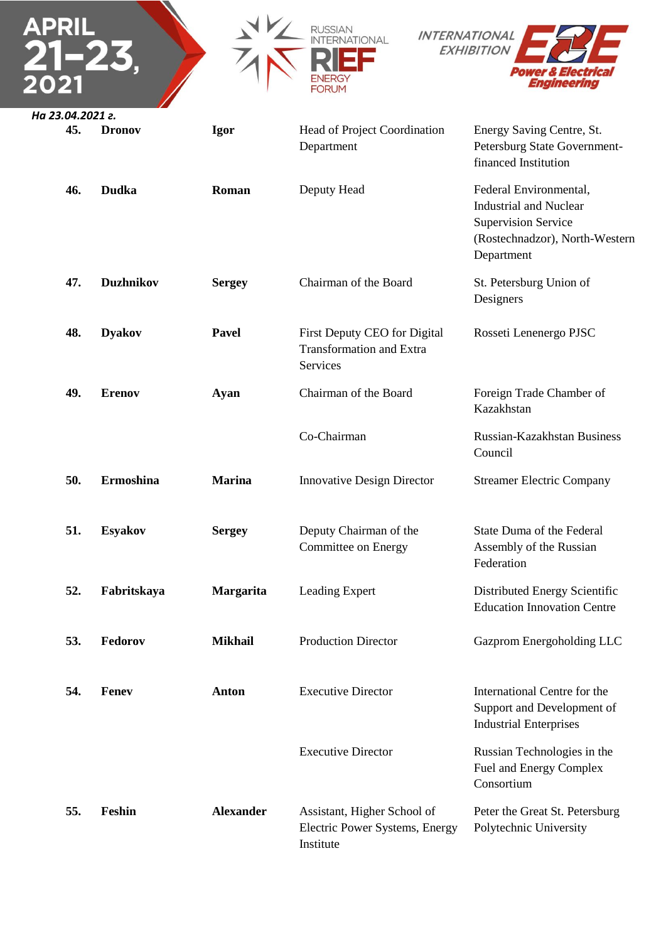



**48. Dyakov Pavel** First Deputy CEO for Digital

**49. Erenov Ayan** Chairman of the Board

**51. Esyakov Sergey** Deputy Chairman of the

Department

Transformation and Extra

Services

Co-Chairman

Committee on Energy



*На 23.04.2021 г.* **45. Dronov Igor** Head of Project Coordination

Energy Saving Centre, St. Petersburg State Governmentfinanced Institution

**46. Dudka Roman** Deputy Head **Federal Environmental**, Industrial and Nuclear Supervision Service (Rostechnadzor), North-Western Department

**47. Duzhnikov Sergey** Chairman of the Board St. Petersburg Union of Designers

Rosseti Lenenergo PJSC

Foreign Trade Chamber of Kazakhstan

Russian-Kazakhstan Business Council

**50. Ermoshina Marina** Innovative Design Director Streamer Electric Company

State Duma of the Federal Assembly of the Russian Federation

**52. Fabritskaya Margarita** Leading Expert Distributed Energy Scientific Education Innovation Centre

**53. Fedorov Mikhail** Production Director Gazprom Energoholding LLC

**54. Fenev Anton** Executive Director Executive Director International Centre for the Support and Development of Industrial Enterprises Russian Technologies in the Fuel and Energy Complex Consortium **55. Feshin Alexander** Assistant, Higher School of Electric Power Systems, Energy Institute Peter the Great St. Petersburg Polytechnic University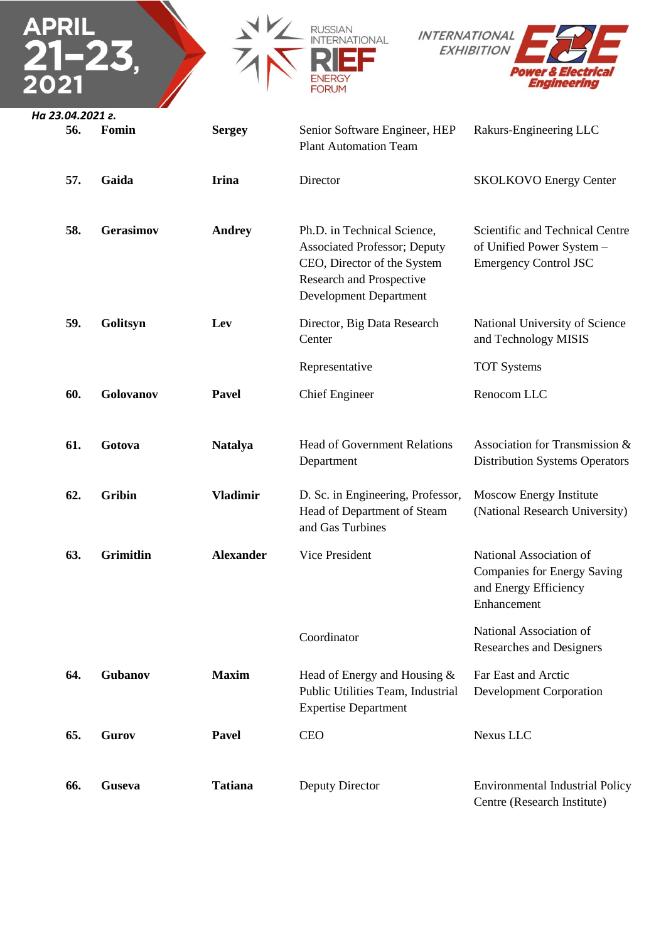





| 56. | Fomin            | <b>Sergey</b>    | Senior Software Engineer, HEP<br><b>Plant Automation Team</b>                                                                                                   | Rakurs-Engineering LLC                                                                         |
|-----|------------------|------------------|-----------------------------------------------------------------------------------------------------------------------------------------------------------------|------------------------------------------------------------------------------------------------|
| 57. | Gaida            | <b>Irina</b>     | Director                                                                                                                                                        | <b>SKOLKOVO Energy Center</b>                                                                  |
| 58. | <b>Gerasimov</b> | <b>Andrey</b>    | Ph.D. in Technical Science,<br><b>Associated Professor</b> ; Deputy<br>CEO, Director of the System<br>Research and Prospective<br><b>Development Department</b> | Scientific and Technical Centre<br>of Unified Power System -<br><b>Emergency Control JSC</b>   |
| 59. | Golitsyn         | Lev              | Director, Big Data Research<br>Center                                                                                                                           | National University of Science<br>and Technology MISIS                                         |
|     |                  |                  | Representative                                                                                                                                                  | <b>TOT</b> Systems                                                                             |
| 60. | Golovanov        | <b>Pavel</b>     | <b>Chief Engineer</b>                                                                                                                                           | Renocom LLC                                                                                    |
| 61. | Gotova           | <b>Natalya</b>   | <b>Head of Government Relations</b><br>Department                                                                                                               | Association for Transmission &<br><b>Distribution Systems Operators</b>                        |
| 62. | <b>Gribin</b>    | <b>Vladimir</b>  | D. Sc. in Engineering, Professor,<br>Head of Department of Steam<br>and Gas Turbines                                                                            | Moscow Energy Institute<br>(National Research University)                                      |
| 63. | <b>Grimitlin</b> | <b>Alexander</b> | Vice President                                                                                                                                                  | National Association of<br>Companies for Energy Saving<br>and Energy Efficiency<br>Enhancement |
|     |                  |                  | Coordinator                                                                                                                                                     | National Association of<br>Researches and Designers                                            |
| 64. | Gubanov          | <b>Maxim</b>     | Head of Energy and Housing $&$<br>Public Utilities Team, Industrial<br><b>Expertise Department</b>                                                              | Far East and Arctic<br><b>Development Corporation</b>                                          |
| 65. | Gurov            | Pavel            | <b>CEO</b>                                                                                                                                                      | Nexus LLC                                                                                      |
| 66. | <b>Guseva</b>    | <b>Tatiana</b>   | Deputy Director                                                                                                                                                 | <b>Environmental Industrial Policy</b><br>Centre (Research Institute)                          |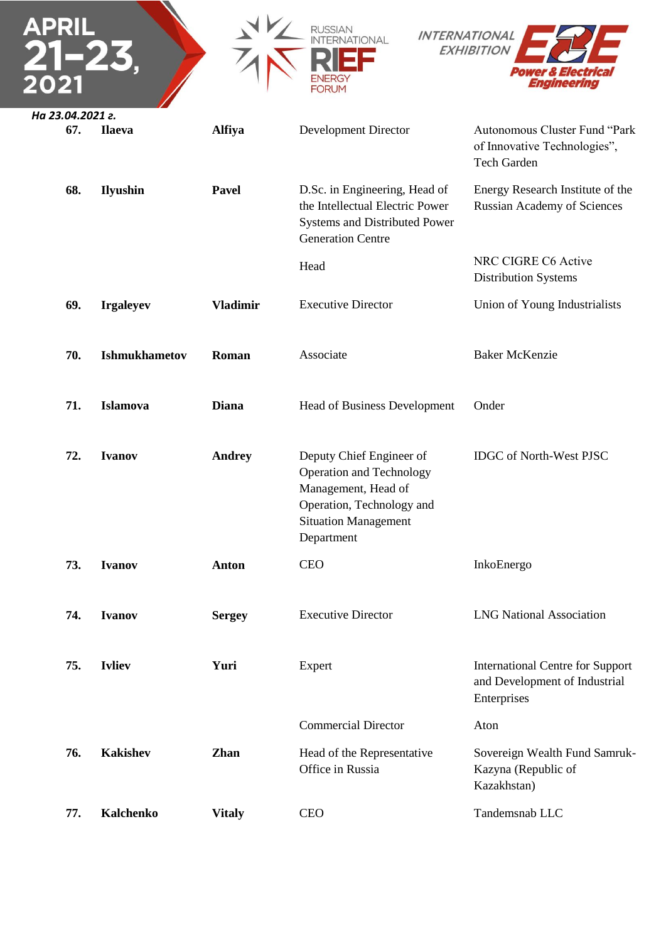| APRIL                   |                      |                 | <b>INTERNATIONAL</b><br>IATIONAL<br><b>FORUM</b>                                                                                                             | <b>EXHIBITION</b><br><i><b>Power &amp; Electrica</b></i><br>Enaineerina                 |
|-------------------------|----------------------|-----------------|--------------------------------------------------------------------------------------------------------------------------------------------------------------|-----------------------------------------------------------------------------------------|
| На 23.04.2021 г.<br>67. | <b>Ilaeva</b>        | <b>Alfiya</b>   | <b>Development Director</b>                                                                                                                                  | Autonomous Cluster Fund "Park<br>of Innovative Technologies",<br>Tech Garden            |
| 68.                     | <b>Ilyushin</b>      | Pavel           | D.Sc. in Engineering, Head of<br>the Intellectual Electric Power<br>Systems and Distributed Power<br><b>Generation Centre</b>                                | Energy Research Institute of the<br><b>Russian Academy of Sciences</b>                  |
|                         |                      |                 | Head                                                                                                                                                         | NRC CIGRE C6 Active<br><b>Distribution Systems</b>                                      |
| 69.                     | <b>Irgaleyev</b>     | <b>Vladimir</b> | <b>Executive Director</b>                                                                                                                                    | Union of Young Industrialists                                                           |
| 70.                     | <b>Ishmukhametov</b> | Roman           | Associate                                                                                                                                                    | <b>Baker McKenzie</b>                                                                   |
| 71.                     | Islamova             | <b>Diana</b>    | Head of Business Development                                                                                                                                 | Onder                                                                                   |
| 72.                     | <b>Ivanov</b>        | <b>Andrey</b>   | Deputy Chief Engineer of<br><b>Operation and Technology</b><br>Management, Head of<br>Operation, Technology and<br><b>Situation Management</b><br>Department | <b>IDGC</b> of North-West PJSC                                                          |
| 73.                     | <b>Ivanov</b>        | <b>Anton</b>    | <b>CEO</b>                                                                                                                                                   | InkoEnergo                                                                              |
| 74.                     | <b>Ivanov</b>        | <b>Sergey</b>   | <b>Executive Director</b>                                                                                                                                    | <b>LNG National Association</b>                                                         |
| 75.                     | <b>Ivliev</b>        | Yuri            | Expert                                                                                                                                                       | <b>International Centre for Support</b><br>and Development of Industrial<br>Enterprises |
|                         |                      |                 | <b>Commercial Director</b>                                                                                                                                   | Aton                                                                                    |
| 76.                     | <b>Kakishev</b>      | <b>Zhan</b>     | Head of the Representative<br>Office in Russia                                                                                                               | Sovereign Wealth Fund Samruk-<br>Kazyna (Republic of<br>Kazakhstan)                     |
| 77.                     | <b>Kalchenko</b>     | <b>Vitaly</b>   | <b>CEO</b>                                                                                                                                                   | Tandemsnab LLC                                                                          |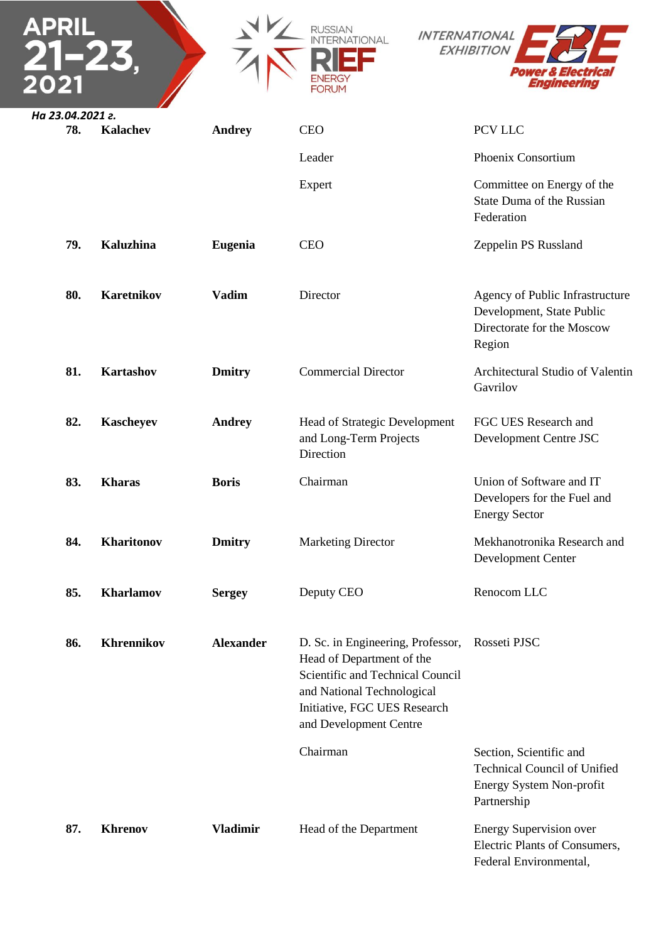|                         |                   |                  | RUSSIAN<br><b>IANOL</b><br>FORUM                                                                                                                                                           | <b>INTERNATIONAL</b><br><b>EXHIBITION</b><br>ver & Electrica<br>Engineering                               |
|-------------------------|-------------------|------------------|--------------------------------------------------------------------------------------------------------------------------------------------------------------------------------------------|-----------------------------------------------------------------------------------------------------------|
| На 23.04.2021 г.<br>78. | <b>Kalachev</b>   | <b>Andrey</b>    | <b>CEO</b>                                                                                                                                                                                 | PCV LLC                                                                                                   |
|                         |                   |                  | Leader                                                                                                                                                                                     | Phoenix Consortium                                                                                        |
|                         |                   |                  | Expert                                                                                                                                                                                     | Committee on Energy of the<br>State Duma of the Russian<br>Federation                                     |
| 79.                     | Kaluzhina         | <b>Eugenia</b>   | <b>CEO</b>                                                                                                                                                                                 | Zeppelin PS Russland                                                                                      |
| 80.                     | Karetnikov        | <b>Vadim</b>     | Director                                                                                                                                                                                   | Agency of Public Infrastructure<br>Development, State Public<br>Directorate for the Moscow<br>Region      |
| 81.                     | <b>Kartashov</b>  | <b>Dmitry</b>    | <b>Commercial Director</b>                                                                                                                                                                 | Architectural Studio of Valentin<br>Gavrilov                                                              |
| 82.                     | <b>Kascheyev</b>  | <b>Andrey</b>    | Head of Strategic Development<br>and Long-Term Projects<br>Direction                                                                                                                       | FGC UES Research and<br>Development Centre JSC                                                            |
| 83.                     | <b>Kharas</b>     | <b>Boris</b>     | Chairman                                                                                                                                                                                   | Union of Software and IT<br>Developers for the Fuel and<br><b>Energy Sector</b>                           |
| 84.                     | Kharitonov        | <b>Dmitry</b>    | <b>Marketing Director</b>                                                                                                                                                                  | Mekhanotronika Research and<br>Development Center                                                         |
| 85.                     | Kharlamov         | <b>Sergey</b>    | Deputy CEO                                                                                                                                                                                 | Renocom LLC                                                                                               |
| 86.                     | <b>Khrennikov</b> | <b>Alexander</b> | D. Sc. in Engineering, Professor,<br>Head of Department of the<br>Scientific and Technical Council<br>and National Technological<br>Initiative, FGC UES Research<br>and Development Centre | Rosseti PJSC                                                                                              |
|                         |                   |                  | Chairman                                                                                                                                                                                   | Section, Scientific and<br><b>Technical Council of Unified</b><br>Energy System Non-profit<br>Partnership |
| 87.                     | <b>Khrenov</b>    | <b>Vladimir</b>  | Head of the Department                                                                                                                                                                     | <b>Energy Supervision over</b><br>Electric Plants of Consumers,<br>Federal Environmental,                 |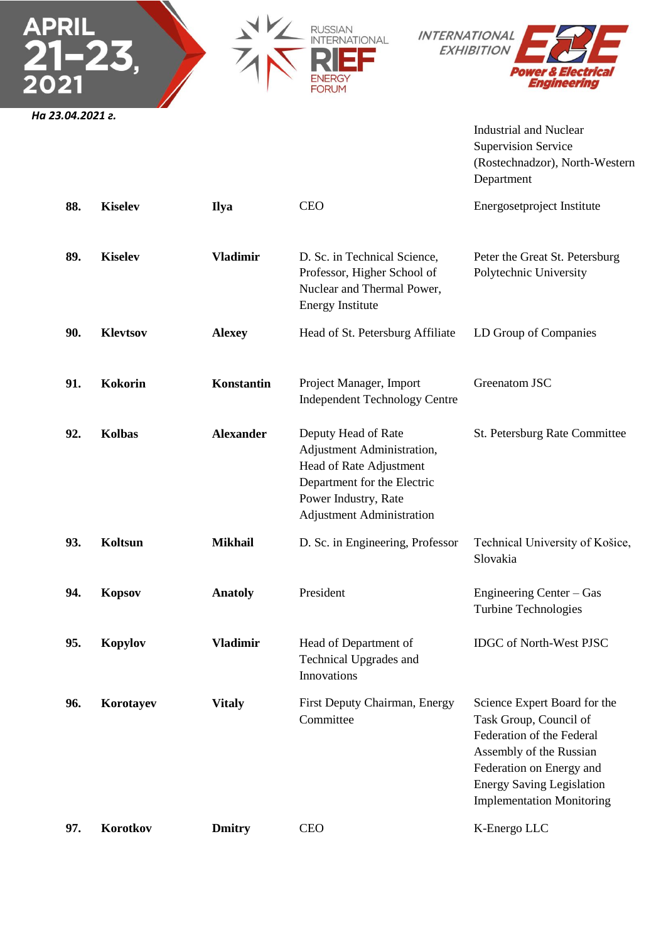





Industrial and Nuclear Supervision Service (Rostechnadzor), North-Western Department

| 88. | <b>Kiselev</b>  | <b>Ilya</b>      | <b>CEO</b>                                                                                                                                                              | Energosetproject Institute                                                                                                                                                                                         |
|-----|-----------------|------------------|-------------------------------------------------------------------------------------------------------------------------------------------------------------------------|--------------------------------------------------------------------------------------------------------------------------------------------------------------------------------------------------------------------|
| 89. | <b>Kiselev</b>  | <b>Vladimir</b>  | D. Sc. in Technical Science,<br>Professor, Higher School of<br>Nuclear and Thermal Power,<br><b>Energy Institute</b>                                                    | Peter the Great St. Petersburg<br>Polytechnic University                                                                                                                                                           |
| 90. | <b>Klevtsov</b> | <b>Alexey</b>    | Head of St. Petersburg Affiliate                                                                                                                                        | LD Group of Companies                                                                                                                                                                                              |
| 91. | <b>Kokorin</b>  | Konstantin       | Project Manager, Import<br><b>Independent Technology Centre</b>                                                                                                         | Greenatom JSC                                                                                                                                                                                                      |
| 92. | <b>Kolbas</b>   | <b>Alexander</b> | Deputy Head of Rate<br>Adjustment Administration,<br>Head of Rate Adjustment<br>Department for the Electric<br>Power Industry, Rate<br><b>Adjustment Administration</b> | St. Petersburg Rate Committee                                                                                                                                                                                      |
| 93. | Koltsun         | <b>Mikhail</b>   | D. Sc. in Engineering, Professor                                                                                                                                        | Technical University of Košice,<br>Slovakia                                                                                                                                                                        |
| 94. | <b>Kopsov</b>   | <b>Anatoly</b>   | President                                                                                                                                                               | Engineering Center – Gas<br>Turbine Technologies                                                                                                                                                                   |
| 95. | <b>Kopylov</b>  | <b>Vladimir</b>  | Head of Department of<br>Technical Upgrades and<br>Innovations                                                                                                          | <b>IDGC</b> of North-West PJSC                                                                                                                                                                                     |
| 96. | Korotayev       | <b>Vitaly</b>    | First Deputy Chairman, Energy<br>Committee                                                                                                                              | Science Expert Board for the<br>Task Group, Council of<br>Federation of the Federal<br>Assembly of the Russian<br>Federation on Energy and<br><b>Energy Saving Legislation</b><br><b>Implementation Monitoring</b> |

**97. Korotkov Dmitry** CEO K-Energo LLC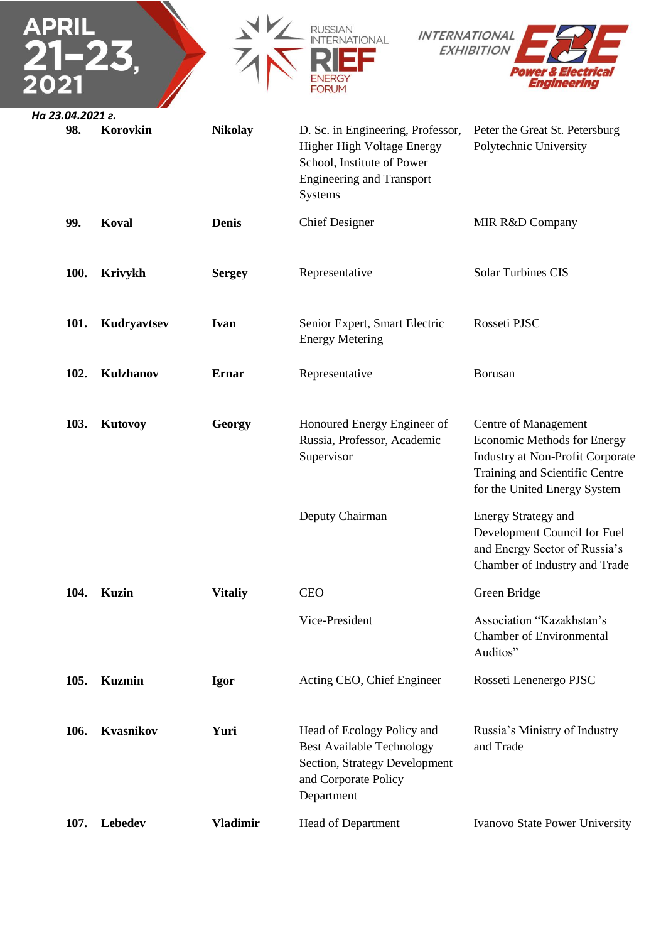

| <b>100.</b> | Krivykh     | <b>Sergey</b> | Representative                                          | <b>Solar Turbines CIS</b> |
|-------------|-------------|---------------|---------------------------------------------------------|---------------------------|
| 101.        | Kudryavtsev | Ivan          | Senior Expert, Smart Electric<br><b>Energy Metering</b> | Rosseti PJSC              |

102. **Kulzhanov Ernar** Representative Borusan

| 103. | <b>Kutovoy</b>   | Georgy          | Honoured Energy Engineer of<br>Russia, Professor, Academic<br>Supervisor                                                              | Centre of Management<br><b>Economic Methods for Energy</b><br><b>Industry at Non-Profit Corporate</b><br>Training and Scientific Centre<br>for the United Energy System |
|------|------------------|-----------------|---------------------------------------------------------------------------------------------------------------------------------------|-------------------------------------------------------------------------------------------------------------------------------------------------------------------------|
|      |                  |                 | Deputy Chairman                                                                                                                       | <b>Energy Strategy and</b><br>Development Council for Fuel<br>and Energy Sector of Russia's<br>Chamber of Industry and Trade                                            |
| 104. | Kuzin            | <b>Vitaliy</b>  | <b>CEO</b>                                                                                                                            | Green Bridge                                                                                                                                                            |
|      |                  |                 | Vice-President                                                                                                                        | Association "Kazakhstan's<br><b>Chamber of Environmental</b><br>Auditos"                                                                                                |
| 105. | <b>Kuzmin</b>    | <b>Igor</b>     | Acting CEO, Chief Engineer                                                                                                            | Rosseti Lenenergo PJSC                                                                                                                                                  |
| 106. | <b>Kvasnikov</b> | Yuri            | Head of Ecology Policy and<br><b>Best Available Technology</b><br>Section, Strategy Development<br>and Corporate Policy<br>Department | Russia's Ministry of Industry<br>and Trade                                                                                                                              |
| 107. | <b>Lebedev</b>   | <b>Vladimir</b> | <b>Head of Department</b>                                                                                                             | <b>Ivanovo State Power University</b>                                                                                                                                   |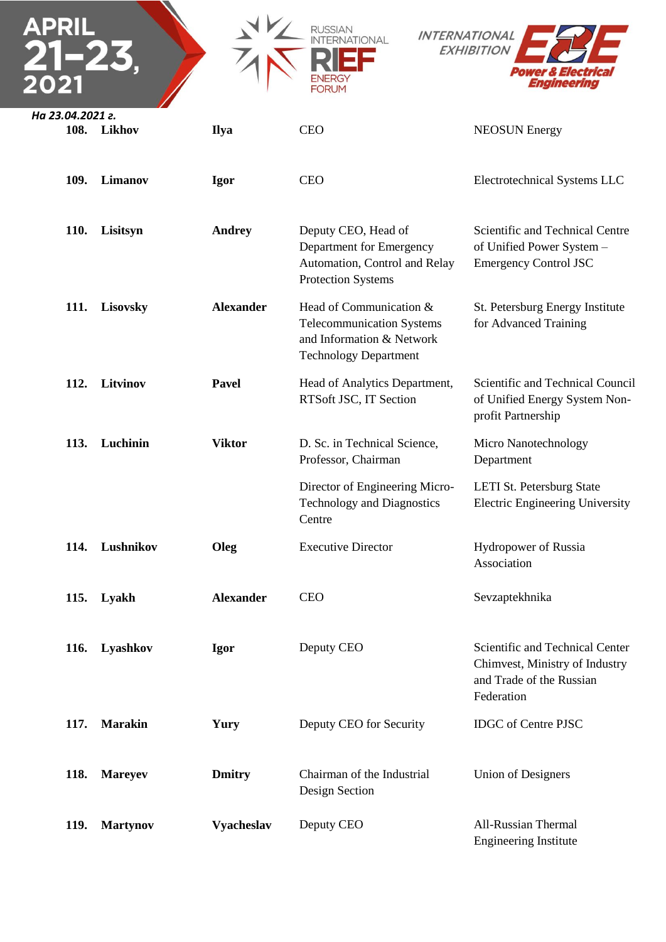| APRIL            |                 |                  | RUSSIAN<br><b>INTERNATIONAL</b><br>JATIONAL<br>FORUM                                                                     | <b>EXHIBITION</b><br>Power & Electrica<br>Engineering                                                       |
|------------------|-----------------|------------------|--------------------------------------------------------------------------------------------------------------------------|-------------------------------------------------------------------------------------------------------------|
| На 23.04.2021 г. | 108. Likhov     | <b>Ilya</b>      | <b>CEO</b>                                                                                                               | <b>NEOSUN</b> Energy                                                                                        |
| 109.             | Limanov         | Igor             | <b>CEO</b>                                                                                                               | Electrotechnical Systems LLC                                                                                |
| <b>110.</b>      | Lisitsyn        | <b>Andrey</b>    | Deputy CEO, Head of<br>Department for Emergency<br>Automation, Control and Relay<br><b>Protection Systems</b>            | Scientific and Technical Centre<br>of Unified Power System -<br><b>Emergency Control JSC</b>                |
| 111.             | Lisovsky        | <b>Alexander</b> | Head of Communication &<br><b>Telecommunication Systems</b><br>and Information & Network<br><b>Technology Department</b> | St. Petersburg Energy Institute<br>for Advanced Training                                                    |
| 112.             | Litvinov        | Pavel            | Head of Analytics Department,<br>RTSoft JSC, IT Section                                                                  | Scientific and Technical Council<br>of Unified Energy System Non-<br>profit Partnership                     |
| <b>113.</b>      | Luchinin        | <b>Viktor</b>    | D. Sc. in Technical Science,<br>Professor, Chairman                                                                      | Micro Nanotechnology<br>Department                                                                          |
|                  |                 |                  | Director of Engineering Micro-<br><b>Technology and Diagnostics</b><br>Centre                                            | LETI St. Petersburg State<br><b>Electric Engineering University</b>                                         |
|                  | 114. Lushnikov  | Oleg             | <b>Executive Director</b>                                                                                                | Hydropower of Russia<br>Association                                                                         |
|                  | 115. Lyakh      | <b>Alexander</b> | <b>CEO</b>                                                                                                               | Sevzaptekhnika                                                                                              |
| 116.             | Lyashkov        | Igor             | Deputy CEO                                                                                                               | Scientific and Technical Center<br>Chimvest, Ministry of Industry<br>and Trade of the Russian<br>Federation |
| 117.             | <b>Marakin</b>  | Yury             | Deputy CEO for Security                                                                                                  | <b>IDGC</b> of Centre PJSC                                                                                  |
| 118.             | <b>Mareyev</b>  | <b>Dmitry</b>    | Chairman of the Industrial<br>Design Section                                                                             | <b>Union of Designers</b>                                                                                   |
| 119.             | <b>Martynov</b> | Vyacheslav       | Deputy CEO                                                                                                               | <b>All-Russian Thermal</b><br><b>Engineering Institute</b>                                                  |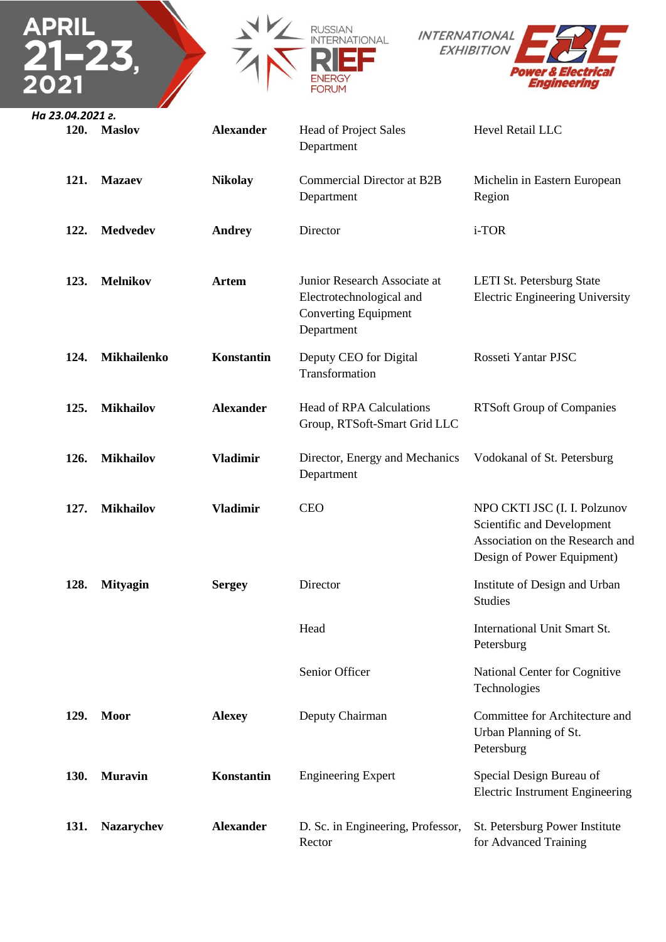





| 120. | <b>Maslov</b>     | <b>Alexander</b> | <b>Head of Project Sales</b><br>Department                                                            | Hevel Retail LLC                                                                                                            |
|------|-------------------|------------------|-------------------------------------------------------------------------------------------------------|-----------------------------------------------------------------------------------------------------------------------------|
| 121. | <b>Mazaev</b>     | <b>Nikolay</b>   | <b>Commercial Director at B2B</b><br>Department                                                       | Michelin in Eastern European<br>Region                                                                                      |
| 122. | <b>Medvedev</b>   | <b>Andrey</b>    | Director                                                                                              | i-TOR                                                                                                                       |
| 123. | <b>Melnikov</b>   | <b>Artem</b>     | Junior Research Associate at<br>Electrotechnological and<br><b>Converting Equipment</b><br>Department | LETI St. Petersburg State<br><b>Electric Engineering University</b>                                                         |
| 124. | Mikhailenko       | Konstantin       | Deputy CEO for Digital<br>Transformation                                                              | Rosseti Yantar PJSC                                                                                                         |
| 125. | <b>Mikhailov</b>  | <b>Alexander</b> | <b>Head of RPA Calculations</b><br>Group, RTSoft-Smart Grid LLC                                       | <b>RTSoft Group of Companies</b>                                                                                            |
| 126. | <b>Mikhailov</b>  | <b>Vladimir</b>  | Director, Energy and Mechanics<br>Department                                                          | Vodokanal of St. Petersburg                                                                                                 |
| 127. | <b>Mikhailov</b>  | <b>Vladimir</b>  | <b>CEO</b>                                                                                            | NPO CKTI JSC (I. I. Polzunov<br>Scientific and Development<br>Association on the Research and<br>Design of Power Equipment) |
| 128. | <b>Mityagin</b>   | <b>Sergey</b>    | Director                                                                                              | Institute of Design and Urban<br><b>Studies</b>                                                                             |
|      |                   |                  | Head                                                                                                  | <b>International Unit Smart St.</b><br>Petersburg                                                                           |
|      |                   |                  | Senior Officer                                                                                        | National Center for Cognitive<br>Technologies                                                                               |
| 129. | <b>Moor</b>       | <b>Alexey</b>    | Deputy Chairman                                                                                       | Committee for Architecture and<br>Urban Planning of St.<br>Petersburg                                                       |
| 130. | <b>Muravin</b>    | Konstantin       | <b>Engineering Expert</b>                                                                             | Special Design Bureau of<br><b>Electric Instrument Engineering</b>                                                          |
| 131. | <b>Nazarychev</b> | <b>Alexander</b> | D. Sc. in Engineering, Professor,                                                                     | St. Petersburg Power Institute                                                                                              |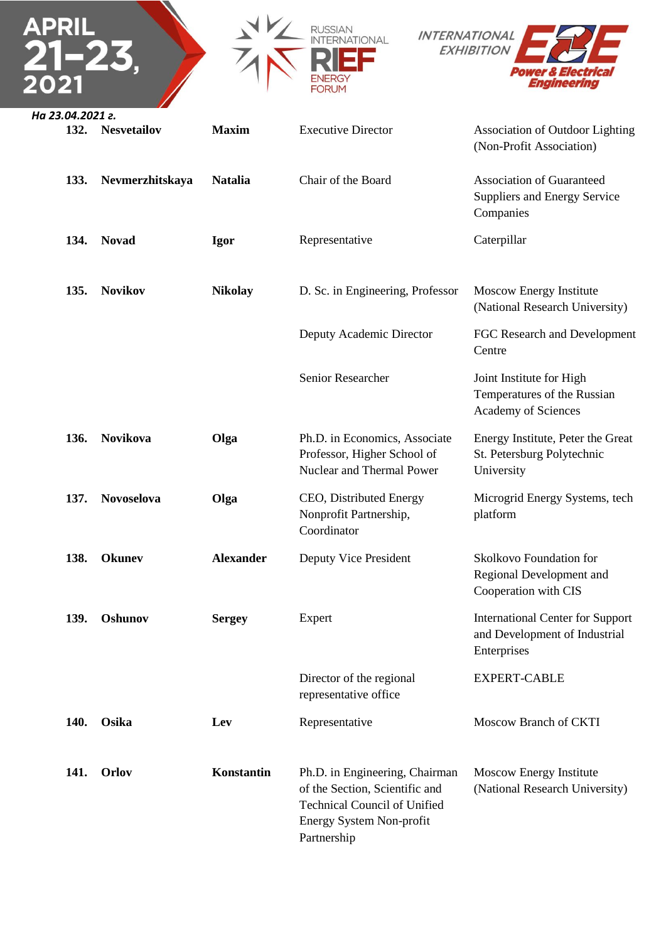|                          |                    |                  | RUSSIAN<br>FORUM                                                                                                                                   | <b>INTERNATIONAL</b><br><b>EXHIBITION</b><br>ver & Electrica<br>Engineering             |
|--------------------------|--------------------|------------------|----------------------------------------------------------------------------------------------------------------------------------------------------|-----------------------------------------------------------------------------------------|
| На 23.04.2021 г.<br>132. | <b>Nesvetailov</b> | <b>Maxim</b>     | <b>Executive Director</b>                                                                                                                          | <b>Association of Outdoor Lighting</b><br>(Non-Profit Association)                      |
| 133.                     | Nevmerzhitskaya    | <b>Natalia</b>   | Chair of the Board                                                                                                                                 | <b>Association of Guaranteed</b><br>Suppliers and Energy Service<br>Companies           |
| 134.                     | <b>Novad</b>       | Igor             | Representative                                                                                                                                     | Caterpillar                                                                             |
| 135.                     | <b>Novikov</b>     | <b>Nikolay</b>   | D. Sc. in Engineering, Professor                                                                                                                   | Moscow Energy Institute<br>(National Research University)                               |
|                          |                    |                  | Deputy Academic Director                                                                                                                           | FGC Research and Development<br>Centre                                                  |
|                          |                    |                  | Senior Researcher                                                                                                                                  | Joint Institute for High<br>Temperatures of the Russian<br>Academy of Sciences          |
| 136.                     | <b>Novikova</b>    | Olga             | Ph.D. in Economics, Associate<br>Professor, Higher School of<br>Nuclear and Thermal Power                                                          | Energy Institute, Peter the Great<br>St. Petersburg Polytechnic<br>University           |
| 137.                     | <b>Novoselova</b>  | Olga             | CEO, Distributed Energy<br>Nonprofit Partnership,<br>Coordinator                                                                                   | Microgrid Energy Systems, tech<br>platform                                              |
| 138.                     | <b>Okunev</b>      | <b>Alexander</b> | Deputy Vice President                                                                                                                              | Skolkovo Foundation for<br>Regional Development and<br>Cooperation with CIS             |
| 139.                     | Oshunov            | <b>Sergey</b>    | Expert                                                                                                                                             | <b>International Center for Support</b><br>and Development of Industrial<br>Enterprises |
|                          |                    |                  | Director of the regional<br>representative office                                                                                                  | <b>EXPERT-CABLE</b>                                                                     |
| 140.                     | Osika              | Lev              | Representative                                                                                                                                     | Moscow Branch of CKTI                                                                   |
| 141.                     | <b>Orlov</b>       | Konstantin       | Ph.D. in Engineering, Chairman<br>of the Section, Scientific and<br><b>Technical Council of Unified</b><br>Energy System Non-profit<br>Partnership | Moscow Energy Institute<br>(National Research University)                               |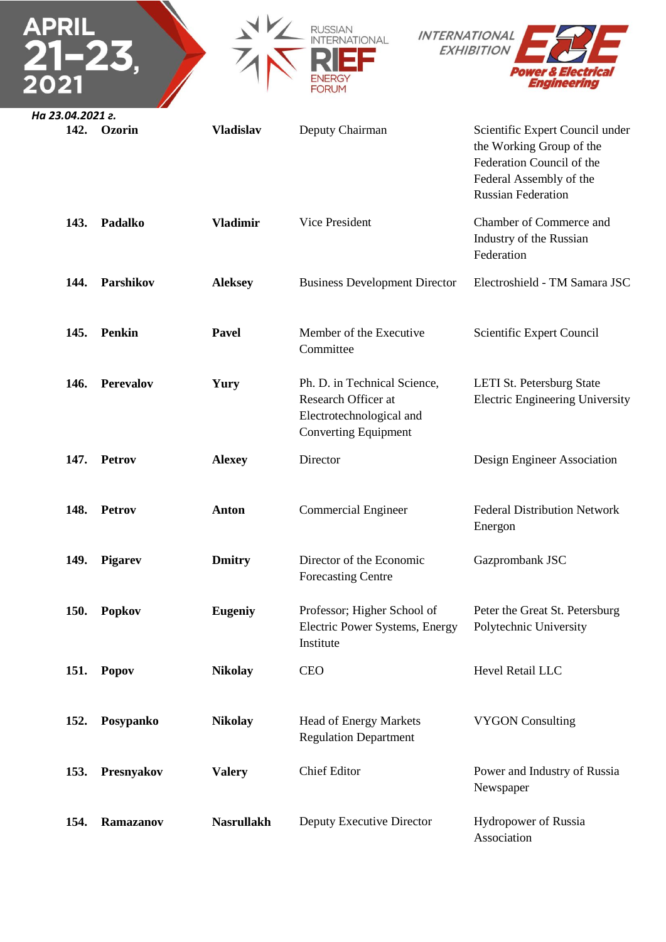| APRIL                    |                  |                   | FORUM                                                                                                          | <b>INTERNATIONAL</b><br><b>EXHIBITION</b><br>ver & Electrica<br>Engineering                                                                      |
|--------------------------|------------------|-------------------|----------------------------------------------------------------------------------------------------------------|--------------------------------------------------------------------------------------------------------------------------------------------------|
| На 23.04.2021 г.<br>142. | Ozorin           | <b>Vladislav</b>  | Deputy Chairman                                                                                                | Scientific Expert Council under<br>the Working Group of the<br>Federation Council of the<br>Federal Assembly of the<br><b>Russian Federation</b> |
| 143.                     | Padalko          | <b>Vladimir</b>   | Vice President                                                                                                 | Chamber of Commerce and<br>Industry of the Russian<br>Federation                                                                                 |
| 144.                     | Parshikov        | <b>Aleksey</b>    | <b>Business Development Director</b>                                                                           | Electroshield - TM Samara JSC                                                                                                                    |
| 145.                     | <b>Penkin</b>    | <b>Pavel</b>      | Member of the Executive<br>Committee                                                                           | Scientific Expert Council                                                                                                                        |
| 146.                     | <b>Perevalov</b> | Yury              | Ph. D. in Technical Science,<br>Research Officer at<br>Electrotechnological and<br><b>Converting Equipment</b> | LETI St. Petersburg State<br><b>Electric Engineering University</b>                                                                              |
| 147.                     | Petrov           | <b>Alexey</b>     | Director                                                                                                       | Design Engineer Association                                                                                                                      |
| 148.                     | Petrov           | <b>Anton</b>      | <b>Commercial Engineer</b>                                                                                     | <b>Federal Distribution Network</b><br>Energon                                                                                                   |
| 149.                     | <b>Pigarev</b>   | <b>Dmitry</b>     | Director of the Economic<br><b>Forecasting Centre</b>                                                          | Gazprombank JSC                                                                                                                                  |
| <b>150.</b>              | <b>Popkov</b>    | <b>Eugeniy</b>    | Professor; Higher School of<br>Electric Power Systems, Energy<br>Institute                                     | Peter the Great St. Petersburg<br>Polytechnic University                                                                                         |
| 151.                     | Popov            | <b>Nikolay</b>    | <b>CEO</b>                                                                                                     | Hevel Retail LLC                                                                                                                                 |
| 152.                     | Posypanko        | <b>Nikolay</b>    | Head of Energy Markets<br><b>Regulation Department</b>                                                         | <b>VYGON Consulting</b>                                                                                                                          |
| 153.                     | Presnyakov       | <b>Valery</b>     | <b>Chief Editor</b>                                                                                            | Power and Industry of Russia<br>Newspaper                                                                                                        |
| 154.                     | Ramazanov        | <b>Nasrullakh</b> | Deputy Executive Director                                                                                      | Hydropower of Russia<br>Association                                                                                                              |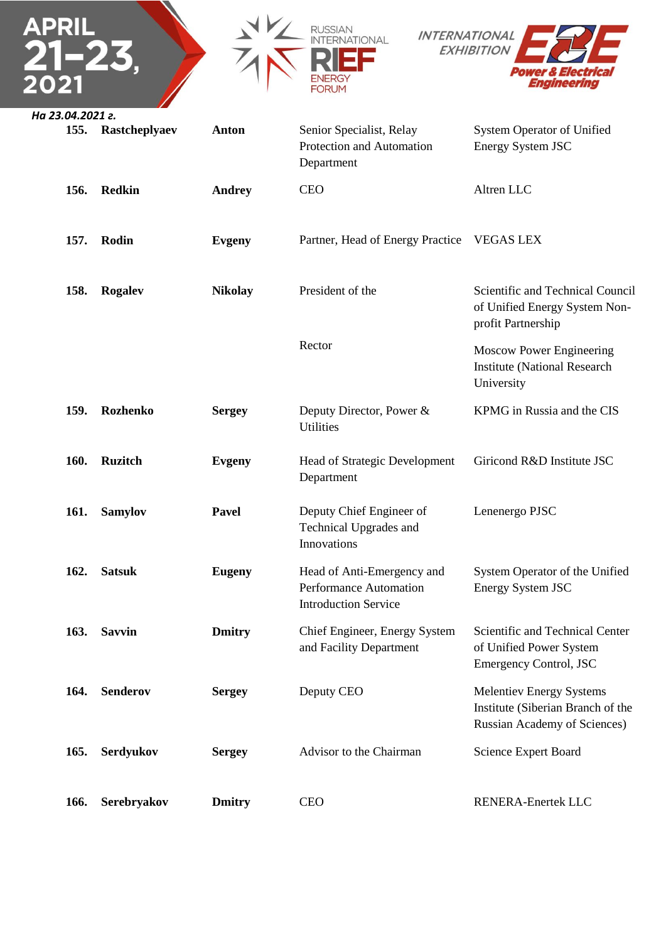





| 155. | Rastcheplyaev   | <b>Anton</b>   | Senior Specialist, Relay<br>Protection and Automation<br>Department                 | <b>System Operator of Unified</b><br>Energy System JSC                                                      |
|------|-----------------|----------------|-------------------------------------------------------------------------------------|-------------------------------------------------------------------------------------------------------------|
| 156. | <b>Redkin</b>   | <b>Andrey</b>  | <b>CEO</b>                                                                          | Altren LLC                                                                                                  |
| 157. | Rodin           | <b>Evgeny</b>  | Partner, Head of Energy Practice                                                    | <b>VEGAS LEX</b>                                                                                            |
| 158. | <b>Rogalev</b>  | <b>Nikolay</b> | President of the                                                                    | Scientific and Technical Council<br>of Unified Energy System Non-<br>profit Partnership                     |
|      |                 |                | Rector                                                                              | <b>Moscow Power Engineering</b><br><b>Institute (National Research</b><br>University                        |
| 159. | <b>Rozhenko</b> | <b>Sergey</b>  | Deputy Director, Power &<br>Utilities                                               | KPMG in Russia and the CIS                                                                                  |
| 160. | <b>Ruzitch</b>  | <b>Evgeny</b>  | Head of Strategic Development<br>Department                                         | Giricond R&D Institute JSC                                                                                  |
| 161. | <b>Samylov</b>  | <b>Pavel</b>   | Deputy Chief Engineer of<br>Technical Upgrades and<br>Innovations                   | Lenenergo PJSC                                                                                              |
| 162. | <b>Satsuk</b>   | <b>Eugeny</b>  | Head of Anti-Emergency and<br>Performance Automation<br><b>Introduction Service</b> | System Operator of the Unified<br>Energy System JSC                                                         |
| 163. | <b>Savvin</b>   | <b>Dmitry</b>  | Chief Engineer, Energy System<br>and Facility Department                            | Scientific and Technical Center<br>of Unified Power System<br><b>Emergency Control, JSC</b>                 |
| 164. | <b>Senderov</b> | <b>Sergey</b>  | Deputy CEO                                                                          | <b>Melentiev Energy Systems</b><br>Institute (Siberian Branch of the<br><b>Russian Academy of Sciences)</b> |
| 165. | Serdyukov       | <b>Sergey</b>  | Advisor to the Chairman                                                             | Science Expert Board                                                                                        |
| 166. | Serebryakov     | <b>Dmitry</b>  | <b>CEO</b>                                                                          | RENERA-Enertek LLC                                                                                          |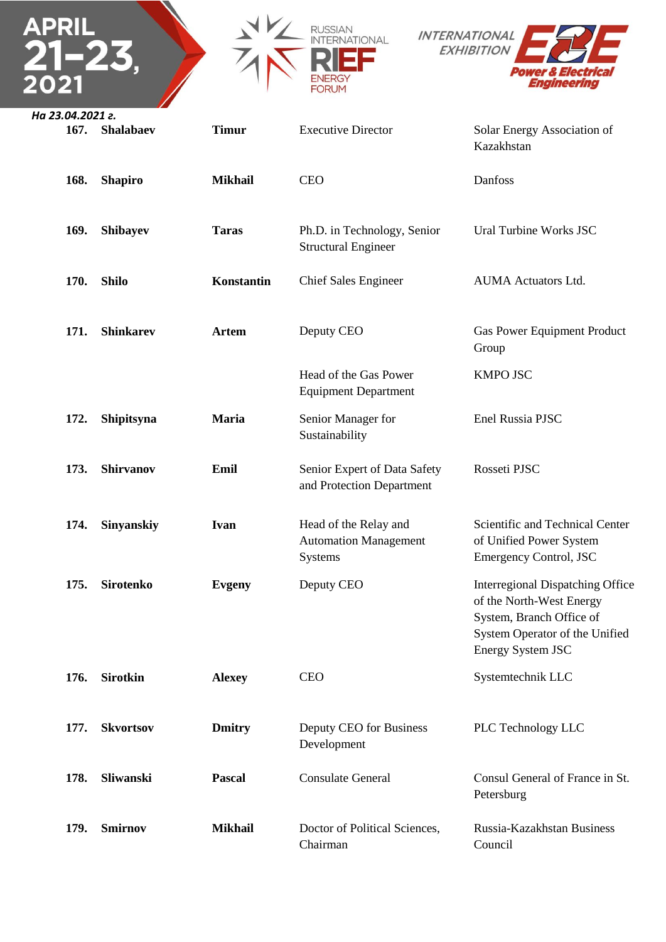



| 167. | Shalabaev        | <b>Timur</b>   | <b>Executive Director</b>                                        | Solar Energy Association of<br>Kazakhstan                                                                                                       |
|------|------------------|----------------|------------------------------------------------------------------|-------------------------------------------------------------------------------------------------------------------------------------------------|
| 168. | <b>Shapiro</b>   | <b>Mikhail</b> | <b>CEO</b>                                                       | Danfoss                                                                                                                                         |
| 169. | <b>Shibayev</b>  | <b>Taras</b>   | Ph.D. in Technology, Senior<br><b>Structural Engineer</b>        | Ural Turbine Works JSC                                                                                                                          |
| 170. | <b>Shilo</b>     | Konstantin     | <b>Chief Sales Engineer</b>                                      | <b>AUMA</b> Actuators Ltd.                                                                                                                      |
| 171. | <b>Shinkarev</b> | <b>Artem</b>   | Deputy CEO                                                       | Gas Power Equipment Product<br>Group                                                                                                            |
|      |                  |                | Head of the Gas Power<br><b>Equipment Department</b>             | <b>KMPO JSC</b>                                                                                                                                 |
| 172. | Shipitsyna       | <b>Maria</b>   | Senior Manager for<br>Sustainability                             | Enel Russia PJSC                                                                                                                                |
| 173. | <b>Shirvanov</b> | Emil           | Senior Expert of Data Safety<br>and Protection Department        | Rosseti PJSC                                                                                                                                    |
| 174. | Sinyanskiy       | <b>Ivan</b>    | Head of the Relay and<br><b>Automation Management</b><br>Systems | Scientific and Technical Center<br>of Unified Power System<br><b>Emergency Control, JSC</b>                                                     |
| 175. | <b>Sirotenko</b> | <b>Evgeny</b>  | Deputy CEO                                                       | Interregional Dispatching Office<br>of the North-West Energy<br>System, Branch Office of<br>System Operator of the Unified<br>Energy System JSC |
| 176. | <b>Sirotkin</b>  | <b>Alexey</b>  | <b>CEO</b>                                                       | Systemtechnik LLC                                                                                                                               |
| 177. | <b>Skvortsov</b> | <b>Dmitry</b>  | Deputy CEO for Business<br>Development                           | PLC Technology LLC                                                                                                                              |
| 178. | Sliwanski        | <b>Pascal</b>  | <b>Consulate General</b>                                         | Consul General of France in St.<br>Petersburg                                                                                                   |
| 179. | <b>Smirnov</b>   | <b>Mikhail</b> | Doctor of Political Sciences,<br>Chairman                        | Russia-Kazakhstan Business<br>Council                                                                                                           |

 $\Gamma$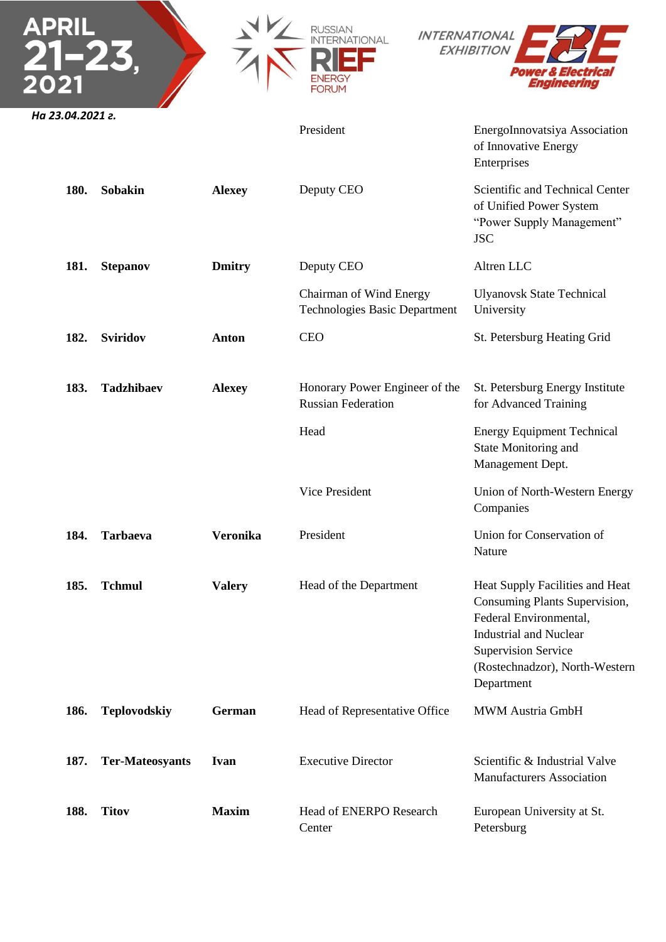|                  |                        |                 | <b>INTERNATIONAL</b><br><b>JATIONAL</b><br><b>FORUM</b>         | <b>EXHIBITION</b><br>Power & Electrica<br>Enaineering                                                                                                                                                     |
|------------------|------------------------|-----------------|-----------------------------------------------------------------|-----------------------------------------------------------------------------------------------------------------------------------------------------------------------------------------------------------|
| На 23.04.2021 г. |                        |                 | President                                                       | EnergoInnovatsiya Association<br>of Innovative Energy<br>Enterprises                                                                                                                                      |
| 180.             | <b>Sobakin</b>         | <b>Alexey</b>   | Deputy CEO                                                      | Scientific and Technical Center<br>of Unified Power System<br>"Power Supply Management"<br><b>JSC</b>                                                                                                     |
| 181.             | <b>Stepanov</b>        | <b>Dmitry</b>   | Deputy CEO                                                      | Altren LLC                                                                                                                                                                                                |
|                  |                        |                 | Chairman of Wind Energy<br><b>Technologies Basic Department</b> | <b>Ulyanovsk State Technical</b><br>University                                                                                                                                                            |
| 182.             | <b>Sviridov</b>        | <b>Anton</b>    | <b>CEO</b>                                                      | St. Petersburg Heating Grid                                                                                                                                                                               |
| 183.             | <b>Tadzhibaev</b>      | <b>Alexey</b>   | Honorary Power Engineer of the<br><b>Russian Federation</b>     | St. Petersburg Energy Institute<br>for Advanced Training                                                                                                                                                  |
|                  |                        |                 | Head                                                            | <b>Energy Equipment Technical</b><br>State Monitoring and<br>Management Dept.                                                                                                                             |
|                  |                        |                 | Vice President                                                  | Union of North-Western Energy<br>Companies                                                                                                                                                                |
| 184.             | <b>Tarbaeva</b>        | <b>Veronika</b> | President                                                       | Union for Conservation of<br>Nature                                                                                                                                                                       |
| 185.             | <b>Tchmul</b>          | <b>Valery</b>   | Head of the Department                                          | Heat Supply Facilities and Heat<br>Consuming Plants Supervision,<br>Federal Environmental,<br><b>Industrial and Nuclear</b><br><b>Supervision Service</b><br>(Rostechnadzor), North-Western<br>Department |
| 186.             | <b>Teplovodskiy</b>    | German          | Head of Representative Office                                   | MWM Austria GmbH                                                                                                                                                                                          |
| 187.             | <b>Ter-Mateosyants</b> | Ivan            | <b>Executive Director</b>                                       | Scientific & Industrial Valve<br><b>Manufacturers Association</b>                                                                                                                                         |
| 188.             | <b>Titov</b>           | <b>Maxim</b>    | Head of ENERPO Research<br>Center                               | European University at St.<br>Petersburg                                                                                                                                                                  |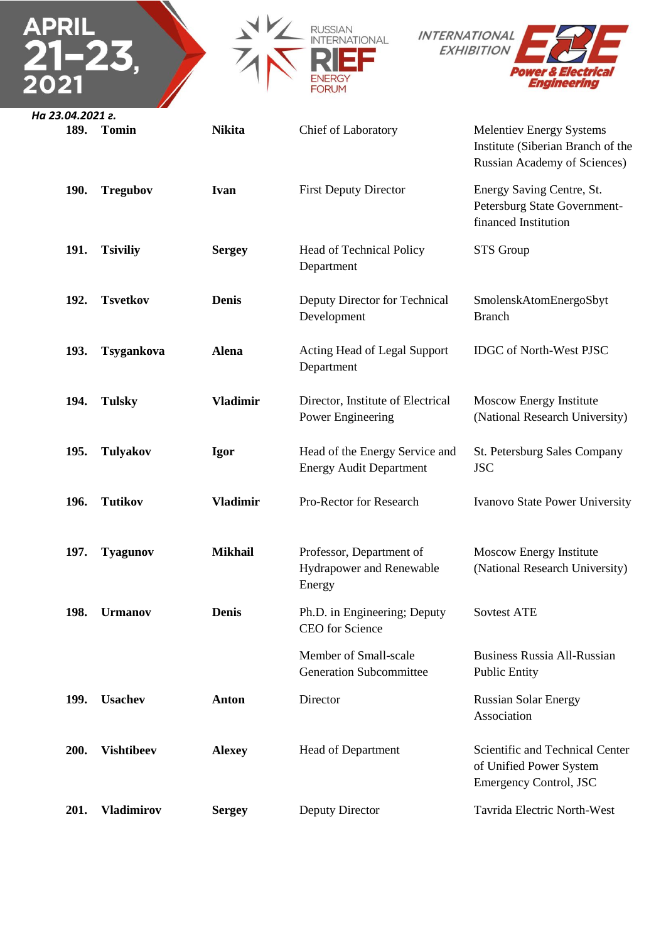







| 189. | <b>Tomin</b>      | <b>Nikita</b>   | <b>Chief of Laboratory</b>                                       | <b>Melentiev Energy Systems</b><br>Institute (Siberian Branch of the<br><b>Russian Academy of Sciences)</b> |
|------|-------------------|-----------------|------------------------------------------------------------------|-------------------------------------------------------------------------------------------------------------|
| 190. | <b>Tregubov</b>   | <b>Ivan</b>     | <b>First Deputy Director</b>                                     | Energy Saving Centre, St.<br>Petersburg State Government-<br>financed Institution                           |
| 191. | <b>Tsiviliy</b>   | <b>Sergey</b>   | Head of Technical Policy<br>Department                           | <b>STS</b> Group                                                                                            |
| 192. | <b>Tsvetkov</b>   | <b>Denis</b>    | Deputy Director for Technical<br>Development                     | SmolenskAtomEnergoSbyt<br><b>Branch</b>                                                                     |
| 193. | Tsygankova        | <b>Alena</b>    | Acting Head of Legal Support<br>Department                       | <b>IDGC</b> of North-West PJSC                                                                              |
| 194. | <b>Tulsky</b>     | <b>Vladimir</b> | Director, Institute of Electrical<br>Power Engineering           | Moscow Energy Institute<br>(National Research University)                                                   |
| 195. | <b>Tulyakov</b>   | <b>Igor</b>     | Head of the Energy Service and<br><b>Energy Audit Department</b> | St. Petersburg Sales Company<br><b>JSC</b>                                                                  |
| 196. | <b>Tutikov</b>    | <b>Vladimir</b> | Pro-Rector for Research                                          | Ivanovo State Power University                                                                              |
| 197. | <b>Tyagunov</b>   | <b>Mikhail</b>  | Professor, Department of<br>Hydrapower and Renewable<br>Energy   | Moscow Energy Institute<br>(National Research University)                                                   |
| 198. | <b>Urmanov</b>    | <b>Denis</b>    | Ph.D. in Engineering; Deputy<br><b>CEO</b> for Science           | <b>Sovtest ATE</b>                                                                                          |
|      |                   |                 | Member of Small-scale<br><b>Generation Subcommittee</b>          | <b>Business Russia All-Russian</b><br><b>Public Entity</b>                                                  |
| 199. | <b>Usachev</b>    | <b>Anton</b>    | Director                                                         | <b>Russian Solar Energy</b><br>Association                                                                  |
| 200. | <b>Vishtibeev</b> | <b>Alexey</b>   | <b>Head of Department</b>                                        | Scientific and Technical Center<br>of Unified Power System<br><b>Emergency Control, JSC</b>                 |
| 201. | <b>Vladimirov</b> | <b>Sergey</b>   | Deputy Director                                                  | Tavrida Electric North-West                                                                                 |